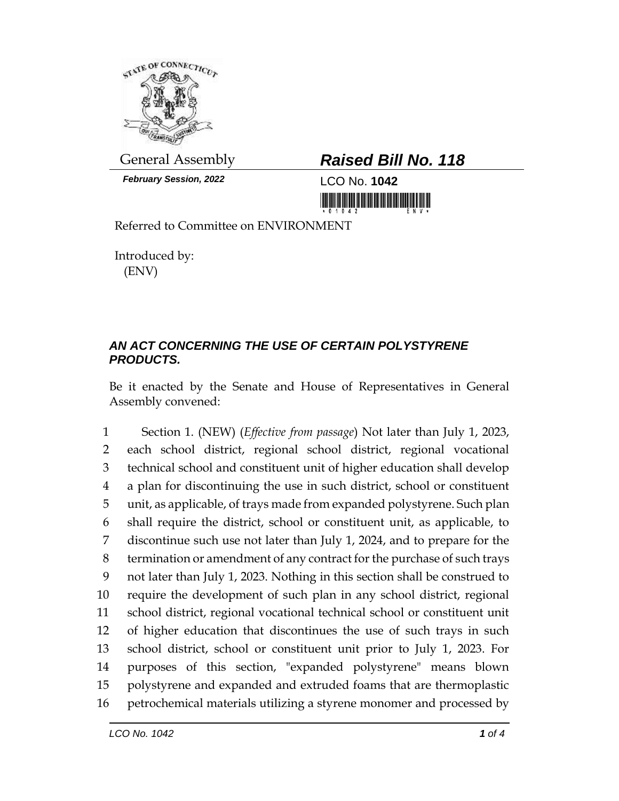

*February Session, 2022* LCO No. **1042**

## General Assembly *Raised Bill No. 118*

Referred to Committee on ENVIRONMENT

Introduced by: (ENV)

## *AN ACT CONCERNING THE USE OF CERTAIN POLYSTYRENE PRODUCTS.*

Be it enacted by the Senate and House of Representatives in General Assembly convened:

 Section 1. (NEW) (*Effective from passage*) Not later than July 1, 2023, each school district, regional school district, regional vocational technical school and constituent unit of higher education shall develop a plan for discontinuing the use in such district, school or constituent unit, as applicable, of trays made from expanded polystyrene. Such plan shall require the district, school or constituent unit, as applicable, to discontinue such use not later than July 1, 2024, and to prepare for the termination or amendment of any contract for the purchase of such trays not later than July 1, 2023. Nothing in this section shall be construed to require the development of such plan in any school district, regional school district, regional vocational technical school or constituent unit of higher education that discontinues the use of such trays in such school district, school or constituent unit prior to July 1, 2023. For purposes of this section, "expanded polystyrene" means blown polystyrene and expanded and extruded foams that are thermoplastic petrochemical materials utilizing a styrene monomer and processed by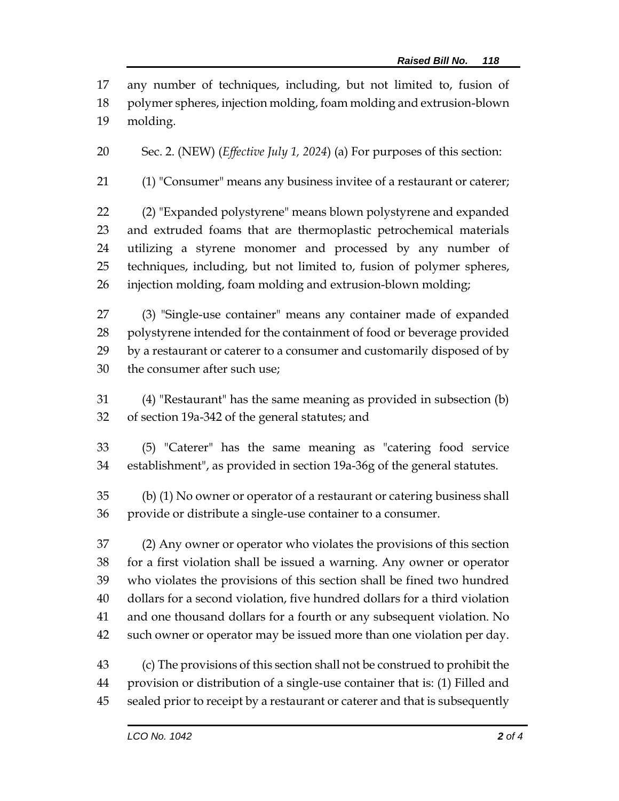any number of techniques, including, but not limited to, fusion of polymer spheres, injection molding, foam molding and extrusion-blown molding.

Sec. 2. (NEW) (*Effective July 1, 2024*) (a) For purposes of this section:

(1) "Consumer" means any business invitee of a restaurant or caterer;

 (2) "Expanded polystyrene" means blown polystyrene and expanded and extruded foams that are thermoplastic petrochemical materials utilizing a styrene monomer and processed by any number of techniques, including, but not limited to, fusion of polymer spheres, injection molding, foam molding and extrusion-blown molding;

 (3) "Single-use container" means any container made of expanded polystyrene intended for the containment of food or beverage provided by a restaurant or caterer to a consumer and customarily disposed of by the consumer after such use;

 (4) "Restaurant" has the same meaning as provided in subsection (b) of section 19a-342 of the general statutes; and

 (5) "Caterer" has the same meaning as "catering food service establishment", as provided in section 19a-36g of the general statutes.

 (b) (1) No owner or operator of a restaurant or catering business shall provide or distribute a single-use container to a consumer.

 (2) Any owner or operator who violates the provisions of this section for a first violation shall be issued a warning. Any owner or operator who violates the provisions of this section shall be fined two hundred dollars for a second violation, five hundred dollars for a third violation and one thousand dollars for a fourth or any subsequent violation. No such owner or operator may be issued more than one violation per day.

 (c) The provisions of this section shall not be construed to prohibit the provision or distribution of a single-use container that is: (1) Filled and

sealed prior to receipt by a restaurant or caterer and that is subsequently